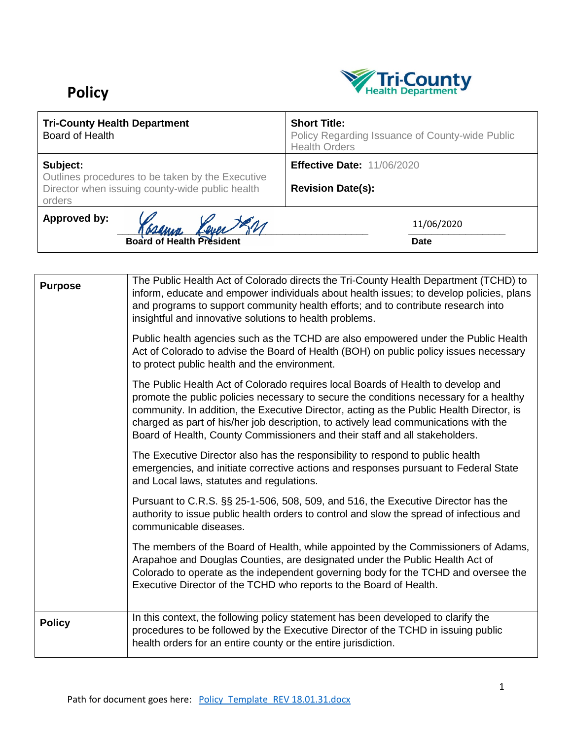## **Policy**



| <b>Tri-County Health Department</b><br>Board of Health                                                                    | <b>Short Title:</b><br>Policy Regarding Issuance of County-wide Public<br><b>Health Orders</b> |
|---------------------------------------------------------------------------------------------------------------------------|------------------------------------------------------------------------------------------------|
| Subject:<br>Outlines procedures to be taken by the Executive<br>Director when issuing county-wide public health<br>orders | <b>Effective Date: 11/06/2020</b><br><b>Revision Date(s):</b>                                  |
| Approved by:<br>Dever Je.<br>Gramm<br><b>Board of Health President</b>                                                    | 11/06/2020<br><b>Date</b>                                                                      |

| <b>Purpose</b> | The Public Health Act of Colorado directs the Tri-County Health Department (TCHD) to<br>inform, educate and empower individuals about health issues; to develop policies, plans<br>and programs to support community health efforts; and to contribute research into<br>insightful and innovative solutions to health problems.                                                                                                               |
|----------------|-----------------------------------------------------------------------------------------------------------------------------------------------------------------------------------------------------------------------------------------------------------------------------------------------------------------------------------------------------------------------------------------------------------------------------------------------|
|                | Public health agencies such as the TCHD are also empowered under the Public Health<br>Act of Colorado to advise the Board of Health (BOH) on public policy issues necessary<br>to protect public health and the environment.                                                                                                                                                                                                                  |
|                | The Public Health Act of Colorado requires local Boards of Health to develop and<br>promote the public policies necessary to secure the conditions necessary for a healthy<br>community. In addition, the Executive Director, acting as the Public Health Director, is<br>charged as part of his/her job description, to actively lead communications with the<br>Board of Health, County Commissioners and their staff and all stakeholders. |
|                | The Executive Director also has the responsibility to respond to public health<br>emergencies, and initiate corrective actions and responses pursuant to Federal State<br>and Local laws, statutes and regulations.                                                                                                                                                                                                                           |
|                | Pursuant to C.R.S. §§ 25-1-506, 508, 509, and 516, the Executive Director has the<br>authority to issue public health orders to control and slow the spread of infectious and<br>communicable diseases.                                                                                                                                                                                                                                       |
|                | The members of the Board of Health, while appointed by the Commissioners of Adams,<br>Arapahoe and Douglas Counties, are designated under the Public Health Act of<br>Colorado to operate as the independent governing body for the TCHD and oversee the<br>Executive Director of the TCHD who reports to the Board of Health.                                                                                                                |
| <b>Policy</b>  | In this context, the following policy statement has been developed to clarify the<br>procedures to be followed by the Executive Director of the TCHD in issuing public<br>health orders for an entire county or the entire jurisdiction.                                                                                                                                                                                                      |